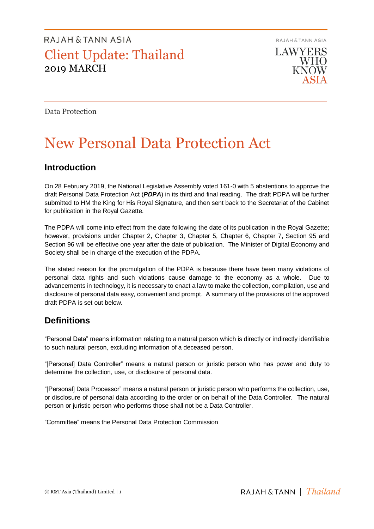RAJAH & TANN ASIA

**LAWYERS WHO KNOW** 

Data Protection

# New Personal Data Protection Act

### **Introduction**

On 28 February 2019, the National Legislative Assembly voted 161-0 with 5 abstentions to approve the draft Personal Data Protection Act (*PDPA*) in its third and final reading. The draft PDPA will be further submitted to HM the King for His Royal Signature, and then sent back to the Secretariat of the Cabinet for publication in the Royal Gazette.

The PDPA will come into effect from the date following the date of its publication in the Royal Gazette; however, provisions under Chapter 2, Chapter 3, Chapter 5, Chapter 6, Chapter 7, Section 95 and Section 96 will be effective one year after the date of publication. The Minister of Digital Economy and Society shall be in charge of the execution of the PDPA.

The stated reason for the promulgation of the PDPA is because there have been many violations of personal data rights and such violations cause damage to the economy as a whole. Due to advancements in technology, it is necessary to enact a law to make the collection, compilation, use and disclosure of personal data easy, convenient and prompt. A summary of the provisions of the approved draft PDPA is set out below.

### **Definitions**

"Personal Data" means information relating to a natural person which is directly or indirectly identifiable to such natural person, excluding information of a deceased person.

"[Personal] Data Controller" means a natural person or juristic person who has power and duty to determine the collection, use, or disclosure of personal data.

"[Personal] Data Processor" means a natural person or juristic person who performs the collection, use, or disclosure of personal data according to the order or on behalf of the Data Controller. The natural person or juristic person who performs those shall not be a Data Controller.

"Committee" means the Personal Data Protection Commission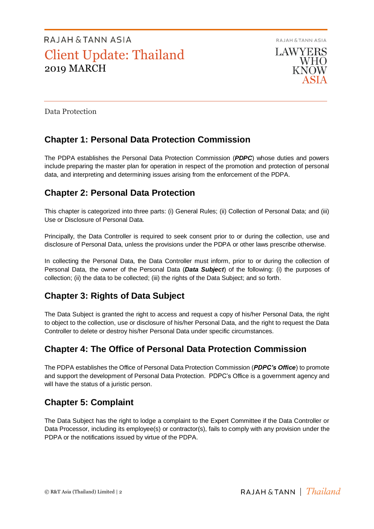RAJAH & TANN ASIA **LAWYERS WHO KNOW** 

Data Protection

## **Chapter 1: Personal Data Protection Commission**

The PDPA establishes the Personal Data Protection Commission (*PDPC*) whose duties and powers include preparing the master plan for operation in respect of the promotion and protection of personal data, and interpreting and determining issues arising from the enforcement of the PDPA.

### **Chapter 2: Personal Data Protection**

This chapter is categorized into three parts: (i) General Rules; (ii) Collection of Personal Data; and (iii) Use or Disclosure of Personal Data.

Principally, the Data Controller is required to seek consent prior to or during the collection, use and disclosure of Personal Data, unless the provisions under the PDPA or other laws prescribe otherwise.

In collecting the Personal Data, the Data Controller must inform, prior to or during the collection of Personal Data, the owner of the Personal Data (*Data Subject*) of the following: (i) the purposes of collection; (ii) the data to be collected; (iii) the rights of the Data Subject; and so forth.

### **Chapter 3: Rights of Data Subject**

The Data Subject is granted the right to access and request a copy of his/her Personal Data, the right to object to the collection, use or disclosure of his/her Personal Data, and the right to request the Data Controller to delete or destroy his/her Personal Data under specific circumstances.

## **Chapter 4: The Office of Personal Data Protection Commission**

The PDPA establishes the Office of Personal Data Protection Commission (*PDPC's Office*) to promote and support the development of Personal Data Protection. PDPC's Office is a government agency and will have the status of a juristic person.

## **Chapter 5: Complaint**

The Data Subject has the right to lodge a complaint to the Expert Committee if the Data Controller or Data Processor, including its employee(s) or contractor(s), fails to comply with any provision under the PDPA or the notifications issued by virtue of the PDPA.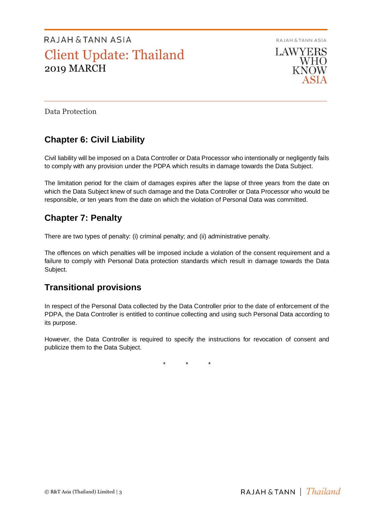RAJAH & TANN ASIA



Data Protection

## **Chapter 6: Civil Liability**

Civil liability will be imposed on a Data Controller or Data Processor who intentionally or negligently fails to comply with any provision under the PDPA which results in damage towards the Data Subject.

The limitation period for the claim of damages expires after the lapse of three years from the date on which the Data Subject knew of such damage and the Data Controller or Data Processor who would be responsible, or ten years from the date on which the violation of Personal Data was committed.

### **Chapter 7: Penalty**

There are two types of penalty: (i) criminal penalty; and (ii) administrative penalty.

The offences on which penalties will be imposed include a violation of the consent requirement and a failure to comply with Personal Data protection standards which result in damage towards the Data Subject.

### **Transitional provisions**

In respect of the Personal Data collected by the Data Controller prior to the date of enforcement of the PDPA, the Data Controller is entitled to continue collecting and using such Personal Data according to its purpose.

However, the Data Controller is required to specify the instructions for revocation of consent and publicize them to the Data Subject.

\* \* \*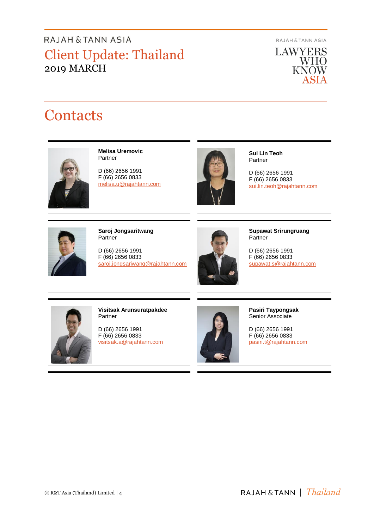**RAJAH & TANN ASIA** 

**LAWYERS WHO**<br>KNOW ASIA

# **Contacts**



**Melisa Uremovic** Partner

D (66) 2656 1991 F (66) 2656 0833 melisa.u@rajahtann.com



**Sui Lin Teoh** Partner

D (66) 2656 1991 F (66) 2656 0833 [sui.lin.teoh@rajahtann.com](mailto:sui.lin.teoh@rajahtann.com)



**Saroj Jongsaritwang** Partner

D (66) 2656 1991 F (66) 2656 0833 [saroj.jongsariwang@rajahtann.com](mailto:saroj.jongsariwang@rajahtann.com)



**Supawat Srirungruang** Partner

D (66) 2656 1991 F (66) 2656 0833 [supawat.s@rajahtann.com](mailto:supawat.s@rajahtann.com)



**Visitsak Arunsuratpakdee** Partner

D (66) 2656 1991 F (66) 2656 0833 [visitsak.a@rajahtann.com](mailto:visitsak.a@rajahtann.com)



**Pasiri Taypongsak** Senior Associate

D (66) 2656 1991 F (66) 2656 0833 [pasiri.t@rajahtann.com](mailto:pasiri.t@rajahtann.com)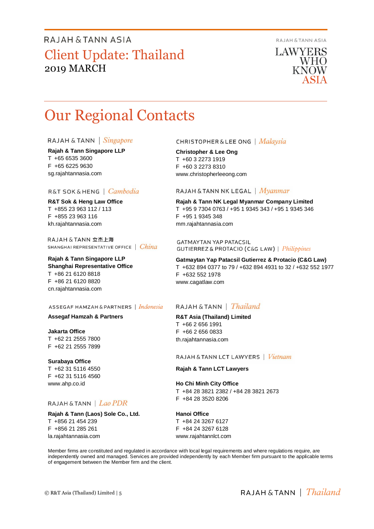RAJAH & TANN ASIA

**LAWYERS WHO** KNOW

# Our Regional Contacts

#### RAJAH & TANN | Singapore

**Rajah & Tann Singapore LLP** T +65 6535 3600 F +65 6225 9630 sg.rajahtannasia.com

### R&T SOK&HENG | Cambodia

**R&T Sok & Heng Law Office** T +855 23 963 112 / 113 F +855 23 963 116 kh.rajahtannasia.com

RAJAH & TANN 立杰上海 SHANGHAI REPRESENTATIVE OFFICE | China

**Rajah & Tann Singapore LLP Shanghai Representative Office** T +86 21 6120 8818 F +86 21 6120 8820 cn.rajahtannasia.com

#### ASSEGAF HAMZAH & PARTNERS | Indonesia

#### **Assegaf Hamzah & Partners**

**Jakarta Office** T +62 21 2555 7800 F +62 21 2555 7899

### **Surabaya Office**

T +62 31 5116 4550 F +62 31 5116 4560 www.ahp.co.id

### RAJAH & TANN | Lao PDR

**Rajah & Tann (Laos) Sole Co., Ltd.** T +856 21 454 239 F +856 21 285 261 la.rajahtannasia.com

#### **CHRISTOPHER & LEE ONG** | Malaysia

**Christopher & Lee Ong** T +60 3 2273 1919 F +60 3 2273 8310 www.christopherleeong.com

#### RAJAH & TANN NK LEGAL | Myanmar

**Rajah & Tann NK Legal Myanmar Company Limited** T +95 9 7304 0763 / +95 1 9345 343 / +95 1 9345 346 F +95 1 9345 348 mm.rajahtannasia.com

**GATMAYTAN YAP PATACSIL GUTIERREZ & PROTACIO (C&G LAW)** | *Philippines* 

**Gatmaytan Yap Patacsil Gutierrez & Protacio (C&G Law)**  T +632 894 0377 to 79 / +632 894 4931 to 32 / +632 552 1977 F +632 552 1978 www.cagatlaw.com

### RAJAH & TANN | *Thailand*

**R&T Asia (Thailand) Limited** T +66 2 656 1991 F +66 2 656 0833 th.rajahtannasia.com

RAJAH & TANN LCT LAWYERS | Vietnam

#### **Rajah & Tann LCT Lawyers**

**Ho Chi Minh City Office** T +84 28 3821 2382 / +84 28 3821 2673 F +84 28 3520 8206

**Hanoi Office** T +84 24 3267 6127

F +84 24 3267 6128 www.rajahtannlct.com

Member firms are constituted and regulated in accordance with local legal requirements and where regulations require, are independently owned and managed. Services are provided independently by each Member firm pursuant to the applicable terms of engagement between the Member firm and the client.